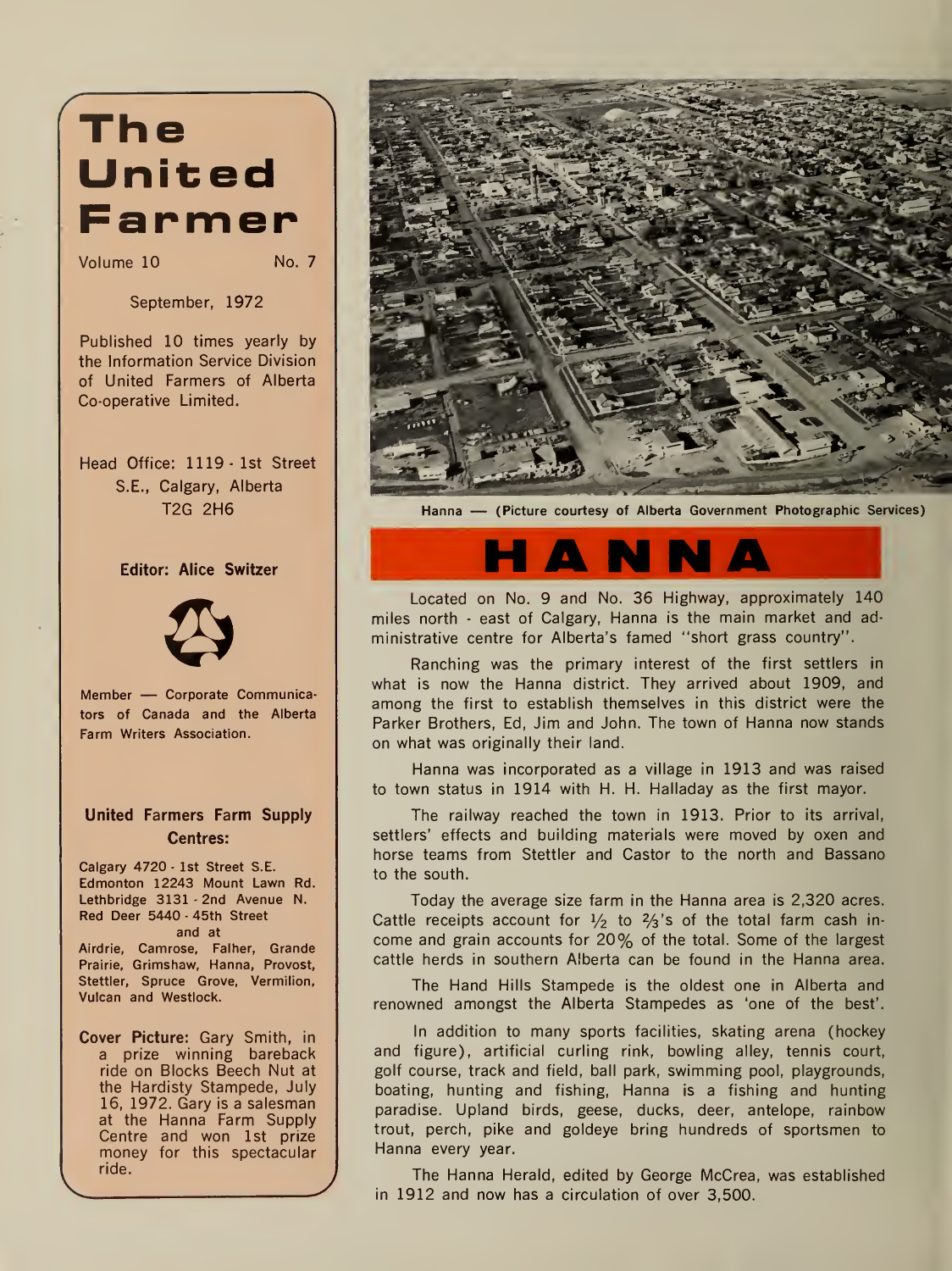## The United **Farmer**

Volume 10

No. 7

September, 1972

Published 10 times yearly by the Information Service Division of United Farmers of Alberta Co-operative Limited.

Head Office: 1119 -1st Street S.E., Calgary, Alberta T2G 2H6

### Editor: Alice Switzer



Member — Corporate Communicators of Canada and the Alberta Farm Writers Association.

### United Farmers Farm Supply Centres:

Calgary 4720 - 1st Street S.E. Edmonton 12243 Mount Lawn Rd. Lethbridge 3131 - 2nd Avenue N. Red Deer 5440 - 45th Street and at Airdrie, Camrose, Falher, Grande Prairie, Grimshaw, Hanna, Provost, Stettler, Spruce Grove, Vermilion, Vulcan and Westlock.

Cover Picture: Gary Smith, in a prize winning bareback ride on Blocks Beech Nut at the Hardisty Stampede, July 16, 1972. Gary is a salesman at the Hanna Farm Supply Centre and won 1st prize money for this spectacular ride.



Hanna — (Picture courtesy of Alberta Government Photographic Services)

Located on No. 9 and No. 36 Highway, approximately 140 miles north - east of Calgary, Hanna is the main market and administrative centre for Alberta's famed "short grass country".

Ranching was the primary interest of the first settlers in what is now the Hanna district. They arrived about 1909, and among the first to establish themselves in this district were the Parker Brothers, Ed, Jim and John. The town of Hanna now stands on what was originally their land.

Hanna was incorporated as a village in 1913 and was raised to town status in 1914 with H. H. Halladay as the first mayor.

The railway reached the town in 1913. Prior to its arrival, settlers' effects and building materials were moved by oxen and horse teams from Stettler and Castor to the north and Bassano to the south.

Today the average size farm in the Hanna area is 2,320 acres. Cattle receipts account for  $\frac{1}{2}$  to  $\frac{2}{3}$ 's of the total farm cash income and grain accounts for 20% of the total. Some of the largest cattle herds in southern Alberta can be found in the Hanna area.

The Hand Hills Stampede is the oldest one in Alberta and renowned amongst the Alberta Stampedes as 'one of the best'.

In addition to many sports facilities, skating arena (hockey and figure), artificial curling rink, bowling alley, tennis court, golf course, track and field, ball park, swimming pool, playgrounds, boating, hunting and fishing, Hanna is a fishing and hunting paradise. Upland birds, geese, ducks, deer, antelope, rainbow trout, perch, pike and goldeye bring hundreds of sportsmen to Hanna every year.

The Hanna Herald, edited by George McCrea, was established in 1912 and now has a circulation of over 3,500.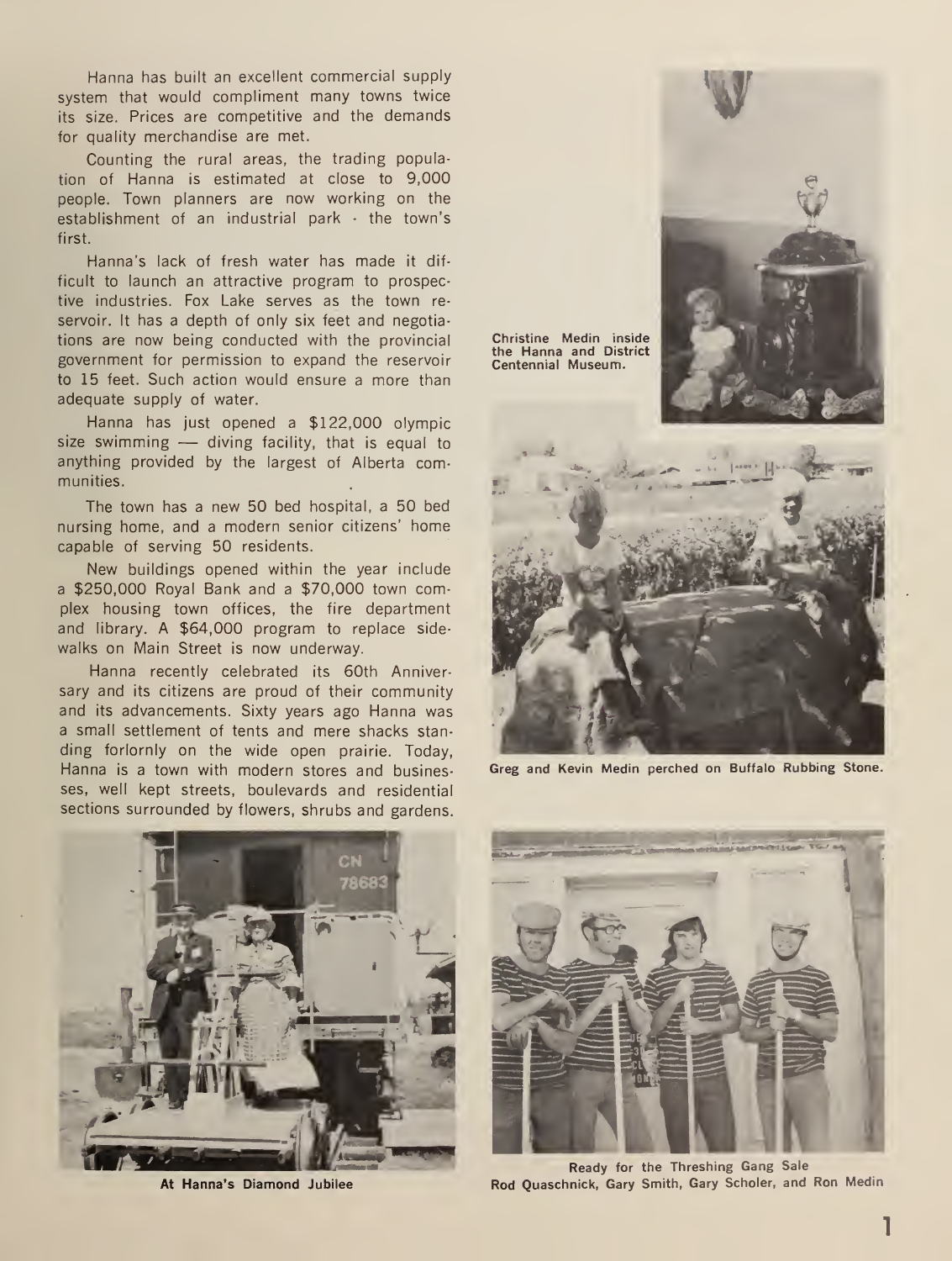Hanna has built an excellent commercial supply system that would compliment many towns twice its size. Prices are competitive and the demands for quality merchandise are met.

Counting the rural areas, the trading population of Hanna is estimated at close to 9,000 people. Town planners are now working on the establishment of an industrial park - the town's first.

Hanna's lack of fresh water has made it difficult to launch an attractive program to prospective industries. Fox Lake serves as the town re servoir. It has a depth of only six feet and negotiations are now being conducted with the provincial government for permission to expand the reservoir to 15 feet. Such action would ensure a more than adequate supply of water.

Hanna has just opened <sup>a</sup> \$122,000 Olympic size swimming — diving facility, that is equal to anything provided by the largest of Alberta communities.

The town has a new 50 bed hospital, a 50 bed nursing home, and <sup>a</sup> modern senior citizens' home capable of serving 50 residents.

New buildings opened within the year include <sup>a</sup> \$250,000 Royal Bank and <sup>a</sup> \$70,000 town complex housing town offices, the fire department and library. A \$64,000 program to replace side walks on Main Street is now underway.

Hanna recently celebrated its 60th Anniversary and its citizens are proud of their community and its advancements. Sixty years ago Hanna was a small settlement of tents and mere shacks stan ding forlornly on the wide open prairie. Today, Hanna is <sup>a</sup> town with modern stores and businesses, well kept streets, boulevards and residential sections surrounded by flowers, shrubs and gardens.



Greg and Kevin Medin perched on Buffalo Rubbing Stone.



At Hanna's Diamond Jubilee



Ready for the Threshing Gang Sale Rod Quaschnick, Gary Smith, Gary Scholer, and Ron Medin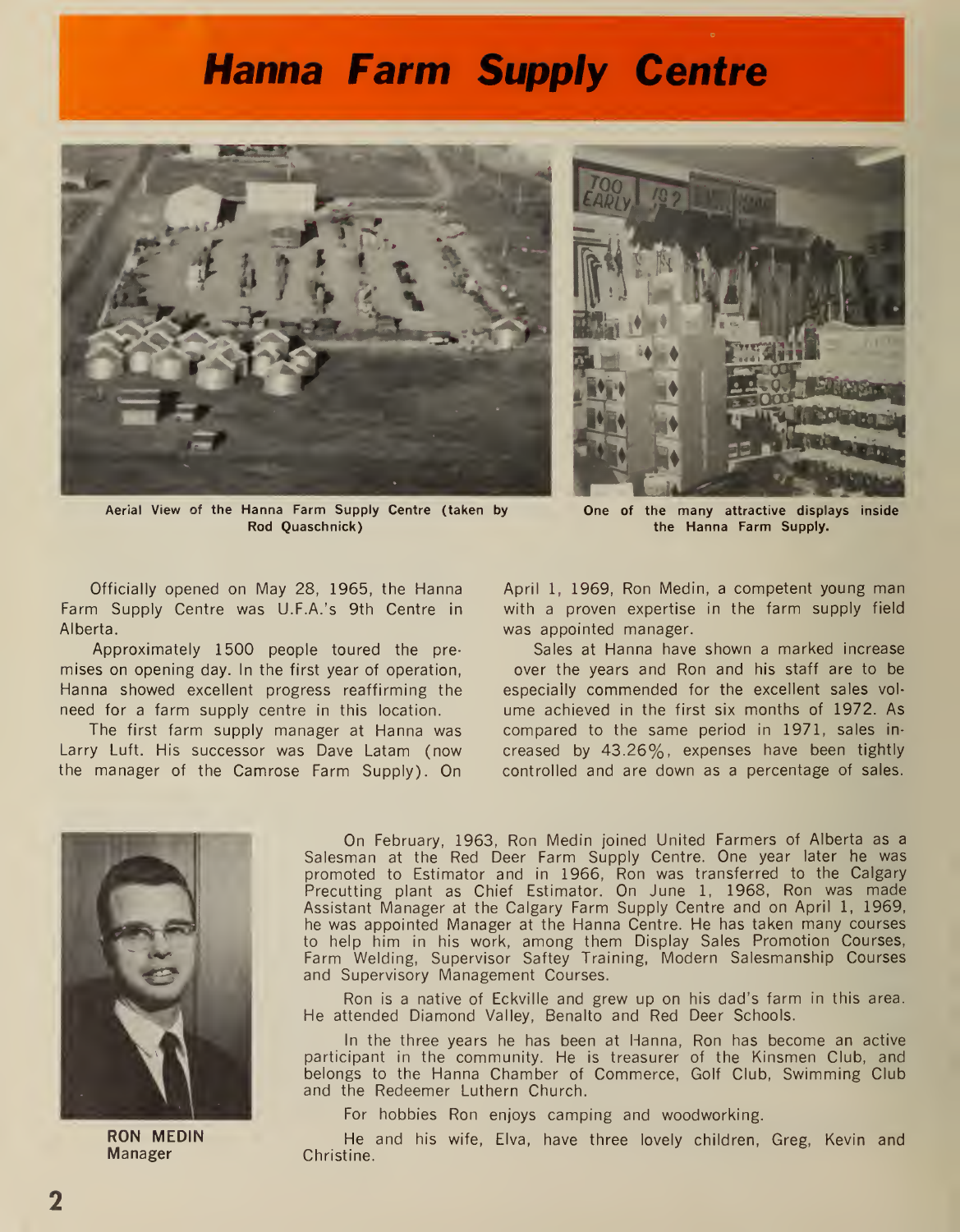### Hanna Farm Supply Centre



Aerial View of the Hanna Farm Supply Centre (taken by Rod Quaschnick)



One of the many attractive displays inside the Hanna Farm Supply.

Officially opened on May 28, 1965, the Hanna Farm Supply Centre was U.F.A.'s 9th Centre in Alberta.

Approximately 1500 people toured the pre mises on opening day. In the first year of operation, Hanna showed excellent progress reaffirming the need for a farm supply centre in this location.

The first farm supply manager at Hanna was Larry Luft. His successor was Dave Latam (now the manager of the Camrose Farm Supply). On April 1, 1969, Ron Medin, <sup>a</sup> competent young man with a proven expertise in the farm supply field was appointed manager.

Sales at Hanna have shown a marked increase over the years and Ron and his staff are to be especially commended for the excellent sales vol ume achieved in the first six months of 1972. As compared to the same period in 1971, sales in creased by 43.26%, expenses have been tightly controlled and are down as a percentage of sales.



On February, 1963, Ron Medin joined United Farmers of Alberta as a Salesman at the Red Deer Farm Supply Centre. One year later he was promoted to Estimator and in 1966, Ron was transferred to the Calgary Precutting plant as Chief Estimator. On June 1, 1968, Ron was made Assistant Manager at the Calgary Farm Supply Centre and on April 1, 1969, he was appointed Manager at the Hanna Centre. He has taken many courses to help him in his work, among them Display Sales Promotion Courses, Farm Welding, Supervisor Saftey Training, Modern Salesmanship Courses and Supervisory Management Courses.

Ron is a native of Eckville and grew up on his dad's farm in this area. He attended Diamond Valley, Benalto and Red Deer Schools.

In the three years he has been at Hanna, Ron has become an active participant in the community. He is treasurer of the Kinsmen Club, and belongs to the Hanna Chamber of Commerce, Golf Club, Swimming Club and the Redeemer Luthern Church.

For hobbies Ron enjoys camping and woodworking.

RON MEDIN He and his wife, Elva, have three lovely children, Greg, Kevin and Manager Christine.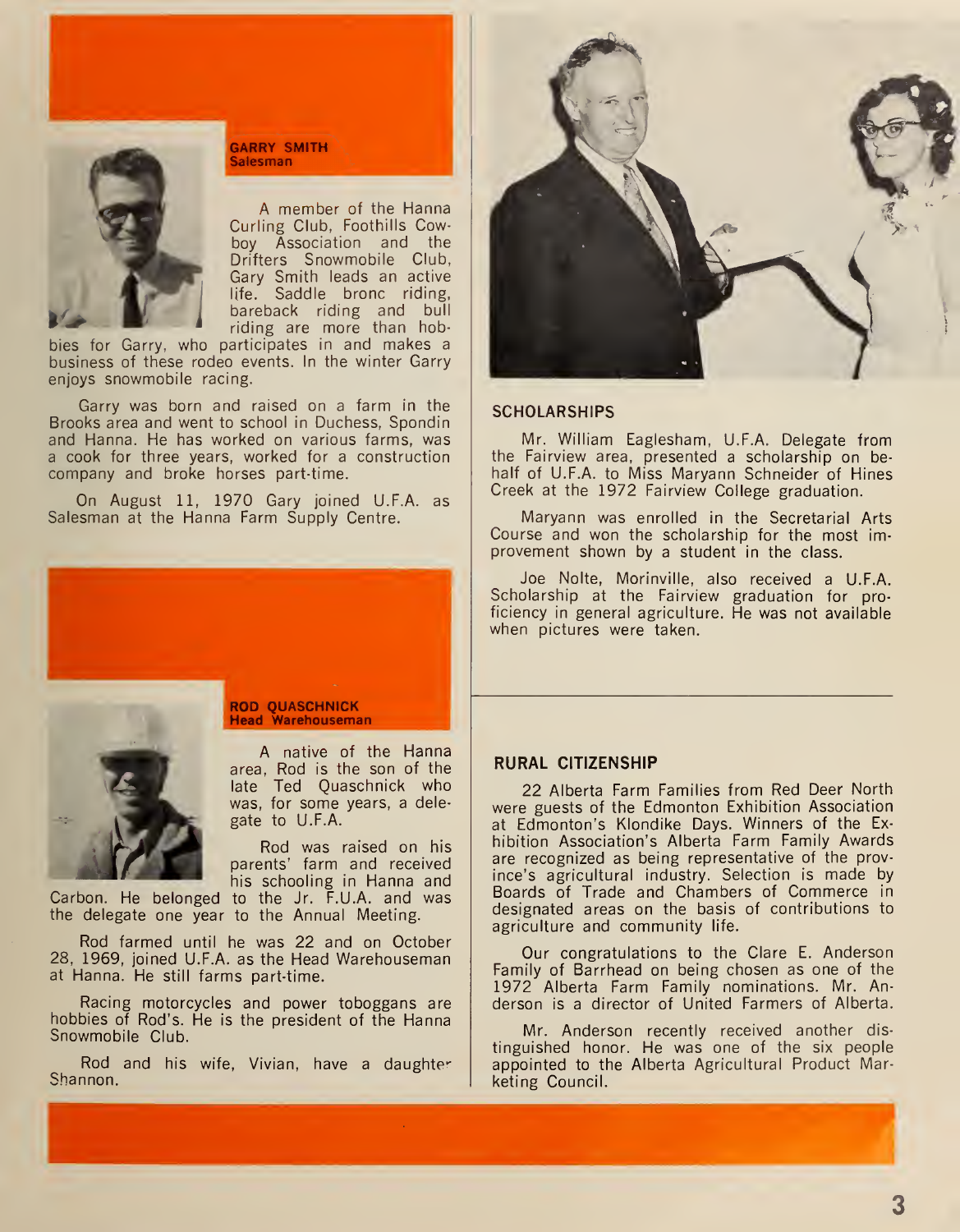

GARRY SMITH **Salesman** 

A member of the Hanna Curling Club, Foothills Cowboy Association and the Drifters Snowmobile Club, Gary Smith leads an active life. Saddle bronc riding, bareback riding and bull riding are more than hob-

bies for Garry, who participates in and makes a business of these rodeo events. In the winter Garry enjoys snowmobile racing.

Garry was born and raised on a farm in the Brooks area and went to school in Duchess, Spondin and Hanna. He has worked on various farms, was a cook for three years, worked for a construction company and broke horses part-time.

On August 11, 1970 Gary joined U.F.A. as Salesman at the Hanna Farm Supply Centre.





ROD QUASCHNICK Head Warehouseman

A native of the Hanna area, Rod is the son of the late Ted Quaschnick who was, for some years, a dele gate to U.F.A.

Rod was raised on his<br>parents' farm and received<br>his schooling in Hanna and

Carbon. He belonged to the Jr. F.U.A. and was the delegate one year to the Annual Meeting.

Rod farmed until he was 22 and on October 28, 1969, joined U.F.A. as the Head Warehouseman at Hanna. He still farms part-time.

Racing motorcycles and power toboggans are hobbies of Rod's. He is the president of the Hanna Snowmobile Club.

Rod and his wife, Vivian, have a daughter Shannon.



### SCHOLARSHIPS

Mr. William Eaglesham, U.F.A. Delegate from the Fairview area, presented a scholarship on be half of U.F.A. to Miss Maryann Schneider of Hines Creek at the 1972 Fairview College graduation.

Maryann was enrolled in the Secretarial Arts Course and won the scholarship for the most improvement shown by a student in the class.

Joe Nolte, Morinville, also received a U.F.A. Scholarship at the Fairview graduation for pro ficiency in general agriculture. He was not available when pictures were taken.

### RURAL CITIZENSHIP

22 Alberta Farm Families from Red Deer North were guests of the Edmonton Exhibition Association at Edmonton's Klondike Days. Winners of the Ex hibition Association's Alberta Farm Family Awards are recognized as being representative of the province's agricultural industry. Selection is made by Boards of Trade and Chambers of Commerce in designated areas on the basis of contributions to agriculture and community life.

Our congratulations to the Clare E. Anderson Family of Barrhead on being chosen as one of the 1972 Alberta Farm Family nominations. Mr. An derson is a director of United Farmers of Alberta.

Mr. Anderson recently received another dis tinguished honor. He was one of the six people appointed to the Alberta Agricultural Product Marketing Council.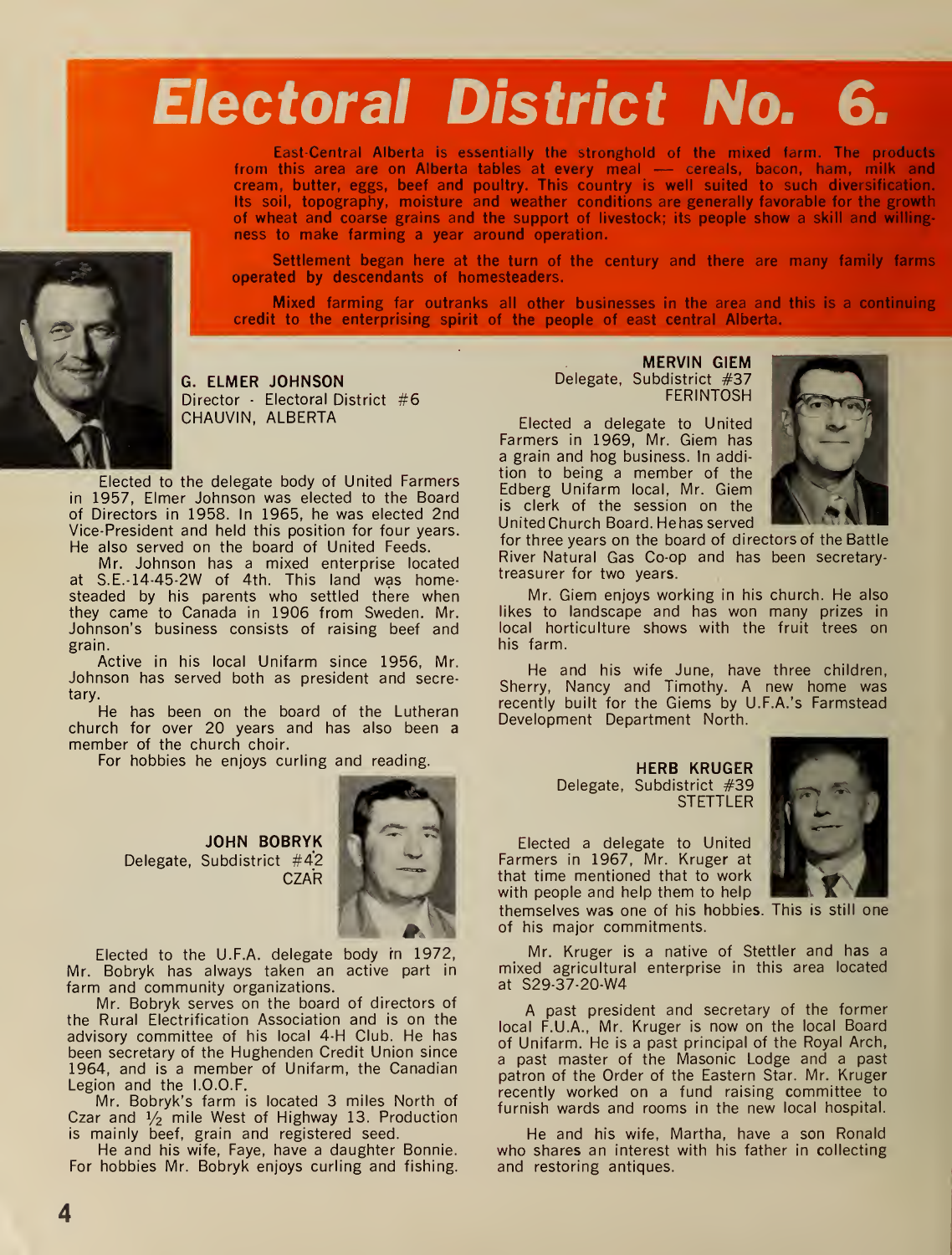## Electoral District No. 6.

East-Central Alberta is essentially the stronghold of the mixed farm. The products from this area are on Alberta tables at every meal — cereals, bacon, ham, milk and cream, butter, eggs, beef and poultry. This country is well suited to such diversification. Its soil, topography, moisture and weather conditions are generally favorable for the growth of wheat and coarse grains and the support of livestock; its people show a skill and willing ness to make farming a year around operation.

Settlement began here at the turn of the century and there are many family farms operated by descendants of homesteaders.

Mixed farming far outranks all other businesses in the area and this is a continuing credit to the enterprising spirit of the people of east central Alberta.

G. ELMER JOHNSON Director · Electoral District #6 CHAUVIN, ALBERTA

Elected to the delegate body of United Farmers in 1957, Elmer Johnson was elected to the Board of Directors in 1958. In 1965, he was elected 2nd Vice-President and held this position for four years. He also served on the board of United Feeds.

Mr. Johnson has a mixed enterprise located at S.E.-14-45-2W of 4th. This land was homesteaded by his parents who settled there when they came to Canada in 1906 from Sweden. Mr. Johnson's business consists of raising beef and grain.

Active in his local Unifarm since 1956, Mr. Johnson has served both as president and secretary.

He has been on the board of the Lutheran church for over 20 years and has also been a member of the church choir.

For hobbies he enjoys curling and reading.

JOHN BOBRYK Delegate, Subdistrict #42 **CZAR** 



Elected to the U.F.A. delegate body rn 1972, Mr. Bobryk has always taken an active part in farm and community organizations.

Mr. Bobryk serves on the board of directors of the Rural Electrification Association and is on the advisory committee of his local 4-H Club. He has been secretary of the Hughenden Credit Union since 1964, and is <sup>a</sup> member of Unifarm, the Canadian Legion and the I.O.O.F.

Mr. Bobryk's farm is located 3 miles North of Czar and  $1/2$  mile West of Highway 13. Production is mainly beef, grain and registered seed.

He and his wife, Faye, have a daughter Bonnie. For hobbies Mr. Bobryk enjoys curling and fishing.

MERVIN GIEM Delegate, Subdistrict #37 FERINTOSH

Elected a delegate to United Farmers in 1969, Mr. Giem has a grain and hog business. In addition to being a member of the Edberg Unifarm local, Mr. Giem is clerk of the session on the UnitedChurch Board. Hehas served



for three years on the board of directors of the Battle River Natural Gas Co-op and has been secretary treasurer for two years.

Mr. Giem enjoys working in his church. He also likes to landscape and has won many prizes in local horticulture shows with the fruit trees on his farm.

He and his wife June, have three children, Sherry, Nancy and Timothy. A new home was recently built for the Giems by U.F.A. 's Farmstead Development Department North.

> Delegate, Subdistrict #39 HERB KRUGER **STETTLER**

Elected a delegate to United Farmers in 1967, Mr. Kruger at that time mentioned that to work with people and help them to help



themselves was one of his hobbies. This is still one of his major commitments.

Mr. Kruger is a native of Stettler and has a mixed agricultural enterprise in this area located at S29-37-20-W4

A past president and secretary of the former local F.U.A., Mr. Kruger is now on the local Board of Unifarm. He is a past principal of the Royal Arch, a past master of the Masonic Lodge and a past patron of the Order of the Eastern Star. Mr. Kruger recently worked on a fund raising committee to furnish wards and rooms in the new local hospital.

He and his wife, Martha, have a son Ronald who shares an interest with his father in collecting and restoring antiques.

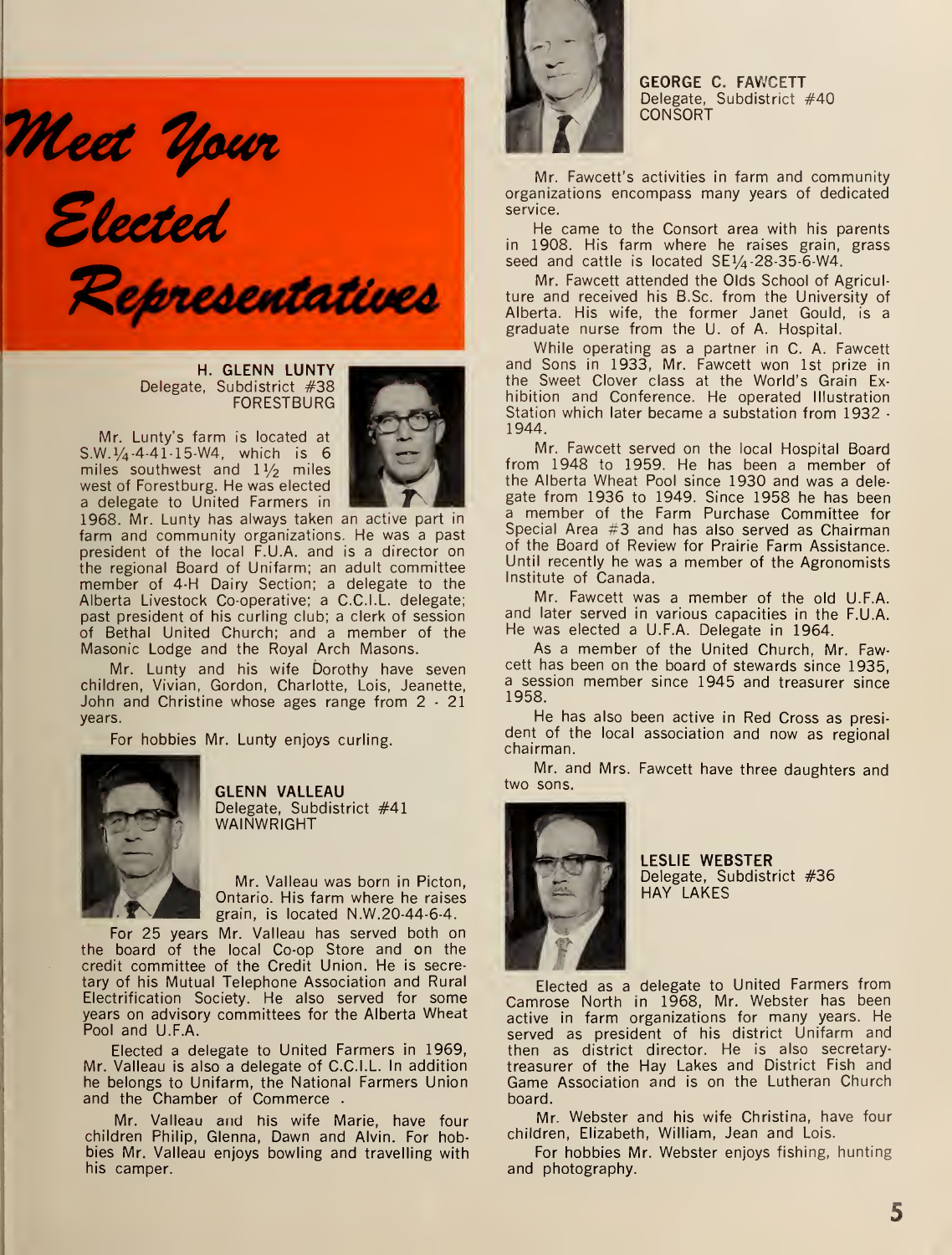Meet Your<br>Elected

Representatives

H. GLENN LUNTY Delegate, Subdistrict #38 FORESTBURG

Mr. Lunty's farm is located at S.W.  $\frac{1}{4}$ -4-41-15-W4, which is 6 miles southwest and  $1\frac{1}{2}$  miles west of Forestburg. He was elected a delegate to United Farmers in



1968. Mr. Lunty has always taken an active part in farm and community organizations. He was a past president of the local F.U.A. and is a director on the regional Board of Unifarm; an adult committee member of 4-H Dairy Section; <sup>a</sup> delegate to the Alberta Livestock Co-operative; a C.C.I.L. delegate; past president of his curling club; a clerk of session of Bethal United Church; and a member of the Masonic Lodge and the Royal Arch Masons.

Mr. Lunty and his wife Dorothy have seven children, Vivian, Gordon, Charlotte, Lois, Jeanette, John and Christine whose ages range from 2 - 21 years.

For hobbies Mr. Lunty enjoys curling.



GLENN VALLEAU Delegate, Subdistrict #41 WAINWRIGHT

Mr. Valleau was born in Picton, Ontario. His farm where he raises grain, is located  $N.W. 20-44-6-4$ .

For 25 years Mr. Valleau has served both on the board of the local Co-op Store and on the credit committee of the Credit Union. He is secretary of his Mutual Telephone Association and Rural Electrification Society. He also served for some years on advisory committees for the Alberta Wheat Pool and U.F.A.

Elected a delegate to United Farmers in 1969, Mr. Valleau is also a delegate of C.C.I.L. In addition he belongs to Unifarm, the National Farmers Union and the Chamber of Commerce .

Mr. Valleau and his wife Marie, have four children Philip, Glenna, Dawn and Alvin. For hobbies Mr. Valleau enjoys bowling and travelling with his camper.



GEORGE C. FAWCETT Delegate, Subdistrict #40 **CONSORT** 

Mr. Fawcett's activities in farm and community organizations encompass many years of dedicated service.

He came to the Consort area with his parents in 1908. His farm where he raises grain, grass seed and cattle is located  $SE\frac{1}{4}$ -28-35-6-W4.

Mr. Fawcett attended the Olds School of Agricul ture and received his B.Sc. from the University of Alberta. His wife, the former Janet Gould, is a graduate nurse from the U. of A. Hospital.

While operating as a partner in C. A. Fawcett and Sons in 1933, Mr. Fawcett won 1st prize in the Sweet Clover class at the World's Grain Ex hibition and Conference. He operated Illustration Station which later became a substation from 1932 - 1944.

Mr. Fawcett served on the local Hospital Board from 1948 to 1959. He has been <sup>a</sup> member of the Alberta Wheat Pool since 1930 and was a dele gate from 1936 to 1949. Since 1958 he has been <sup>a</sup> member of the Farm Purchase Committee for Special Area #3 and has also served as Chairman of the Board of Review for Prairie Farm Assistance. Until recently he was <sup>a</sup> member of the Agronomists Institute of Canada.

Mr. Fawcett was <sup>a</sup> member of the old U.F.A. and later served in various capacities in the F.U.A. He was elected <sup>a</sup> U.F.A. Delegate in 1964.

As <sup>a</sup> member of the United Church, Mr. Fawcett has been on the board of stewards since 1935, <sup>a</sup> session member since 1945 and treasurer since 1958.

He has also been active in Red Cross as president of the local association and now as regional chairman.

Mr. and Mrs. Fawcett have three daughters and two sons.



LESLIE WEBSTER Delegate, Subdistrict #36 HAY LAKES

Elected as a delegate to United Farmers from Camrose North in 1968, Mr. Webster has been active in farm organizations for many years. He served as president of his district Unifarm and then as district director. He is also secretary treasurer of the Hay Lakes and District Fish and Game Association and is on the Lutheran Church board.

Mr. Webster and his wife Christina, have four children, Elizabeth, William, Jean and Lois.

For hobbies Mr. Webster enjoys fishing, hunting and photography.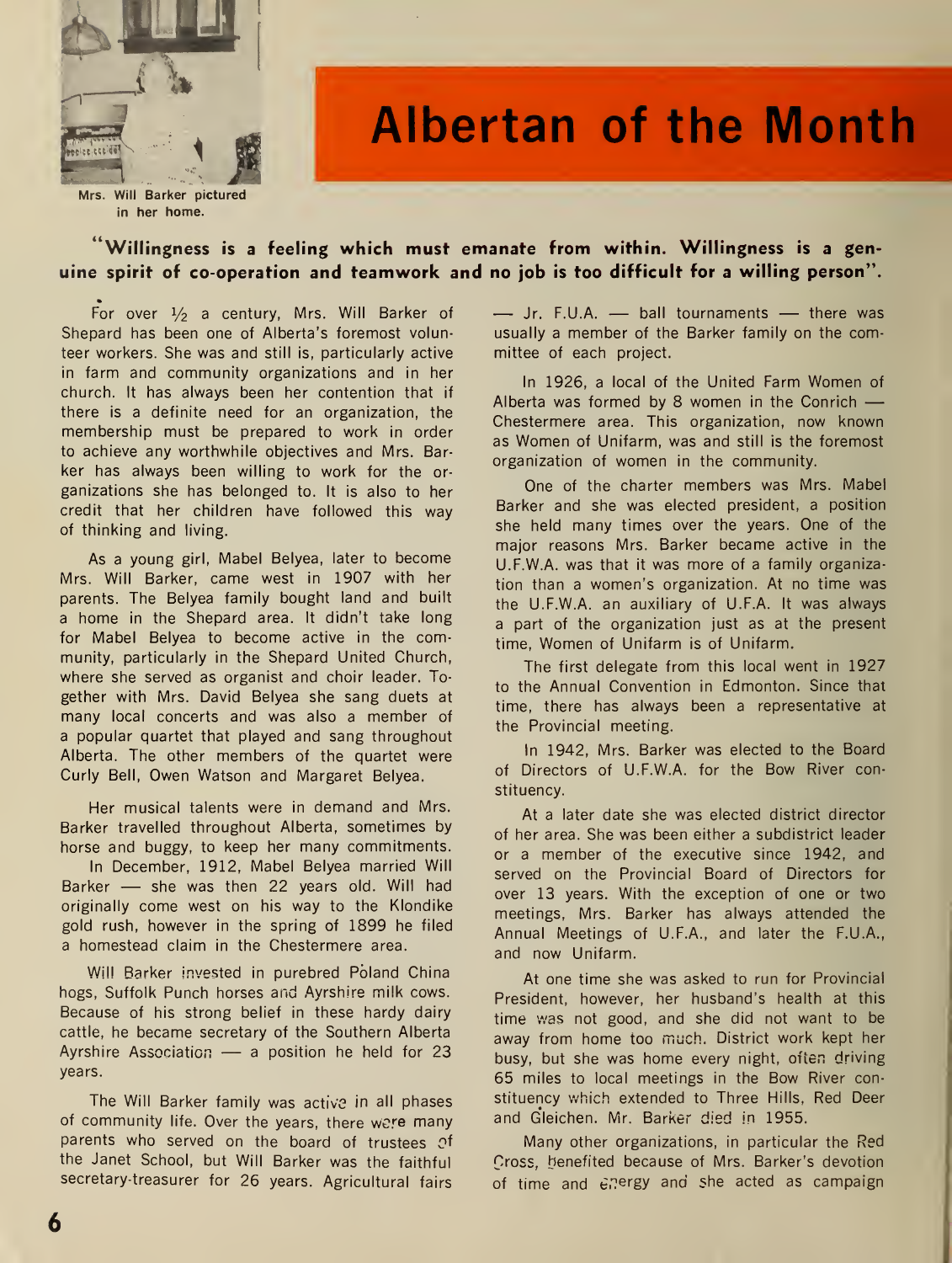

## Albertan of the Month

Mrs. Will Barker pictured in her home.

### "Willingness is <sup>a</sup> feeling which must emanate from within. Willingness is a genuine spirit of co-operation and teamwork and no job is too difficult for <sup>a</sup> willing person".

For over  $\frac{1}{2}$  a century, Mrs. Will Barker of Shepard has been one of Alberta's foremost volunteer workers. She was and still is, particularly active in farm and community organizations and in her church. It has always been her contention that if there is a definite need for an organization, the membership must be prepared to work in order to achieve any worthwhile objectives and Mrs. Bar ker has always been willing to work for the or ganizations she has belonged to. It is also to her credit that her children have followed this way of thinking and living.

As <sup>a</sup> young girl, Mabel Belyea, later to become Mrs. Will Barker, came west in 1907 with her parents. The Belyea family bought land and built a home in the Shepard area. It didn't take long for Mabel Belyea to become active in the community, particularly in the Shepard United Church, where she served as organist and choir leader. To gether with Mrs. David Belyea she sang duets at many local concerts and was also <sup>a</sup> member of a popular quartet that played and sang throughout Alberta. The other members of the quartet were Curly Bell, Owen Watson and Margaret Belyea.

Her musical talents were in demand and Mrs. Barker travelled throughout Alberta, sometimes by horse and buggy, to keep her many commitments. In December, 1912, Mabel Belyea married Will Barker — she was then <sup>22</sup> years old. Will had originally come west on his way to the Klondike gold rush, however in the spring of 1899 he filed a homestead claim in the Chestermere area.

Will Barker invested in purebred Poland China hogs, Suffolk Punch horses and Ayrshire milk cows. Because of his strong belief in these hardy dairy cattle, he became secretary of the Southern Alberta Ayrshire Association — <sup>a</sup> position he held for <sup>23</sup> years.

The Will Barker family was active in all phases of community life. Over the years, there were many parents who served on the board of trustees Of the Janet School, but Will Barker was the faithful secretary-treasurer for 26 years. Agricultural fairs — Jr. F.U.A. — ball tournaments — there was usually <sup>a</sup> member of the Barker family on the committee of each project.

In 1926, <sup>a</sup> local of the United Farm Women of Alberta was formed by <sup>8</sup> women in the Conrich — Chestermere area. This organization, now known as Women of Unifarm, was and still is the foremost organization of women in the community.

One of the charter members was Mrs. Mabel Barker and she was elected president, a position she held many times over the years. One of the major reasons Mrs. Barker became active in the U.F.W.A. was that it was more of a family organization than a women's organization. At no time was the U.F.W.A. an auxiliary of U.F.A. It was always a part of the organization just as at the present time, Women of Unifarm is of Unifarm.

The first delegate from this local went in 1927 to the Annual Convention in Edmonton. Since that time, there has always been a representative at the Provincial meeting.

In 1942, Mrs. Barker was elected to the Board of Directors of U.F.W.A. for the Bow River constituency.

At a later date she was elected district director of her area. She was been either a subdistrict leader or <sup>a</sup> member of the executive since 1942, and served on the Provincial Board of Directors for over 13 years. With the exception of one or two meetings, Mrs. Barker has always attended the Annual Meetings of U.F.A., and later the F.U.A., and now Unifarm.

At one time she was asked to run for Provincial President, however, her husband's health at this time was not good, and she did not want to be away from home too much. District work kept her busy, but she was home every night, often driving 65 miles to local meetings in the Bow River constituency which extended to Three Hills, Red Deer and Gleichen. Mr. Barker died in 1955.

Many other organizations, in particular the Red Cross, benefited because of Mrs. Barker's devotion of time and energy and she acted as campaign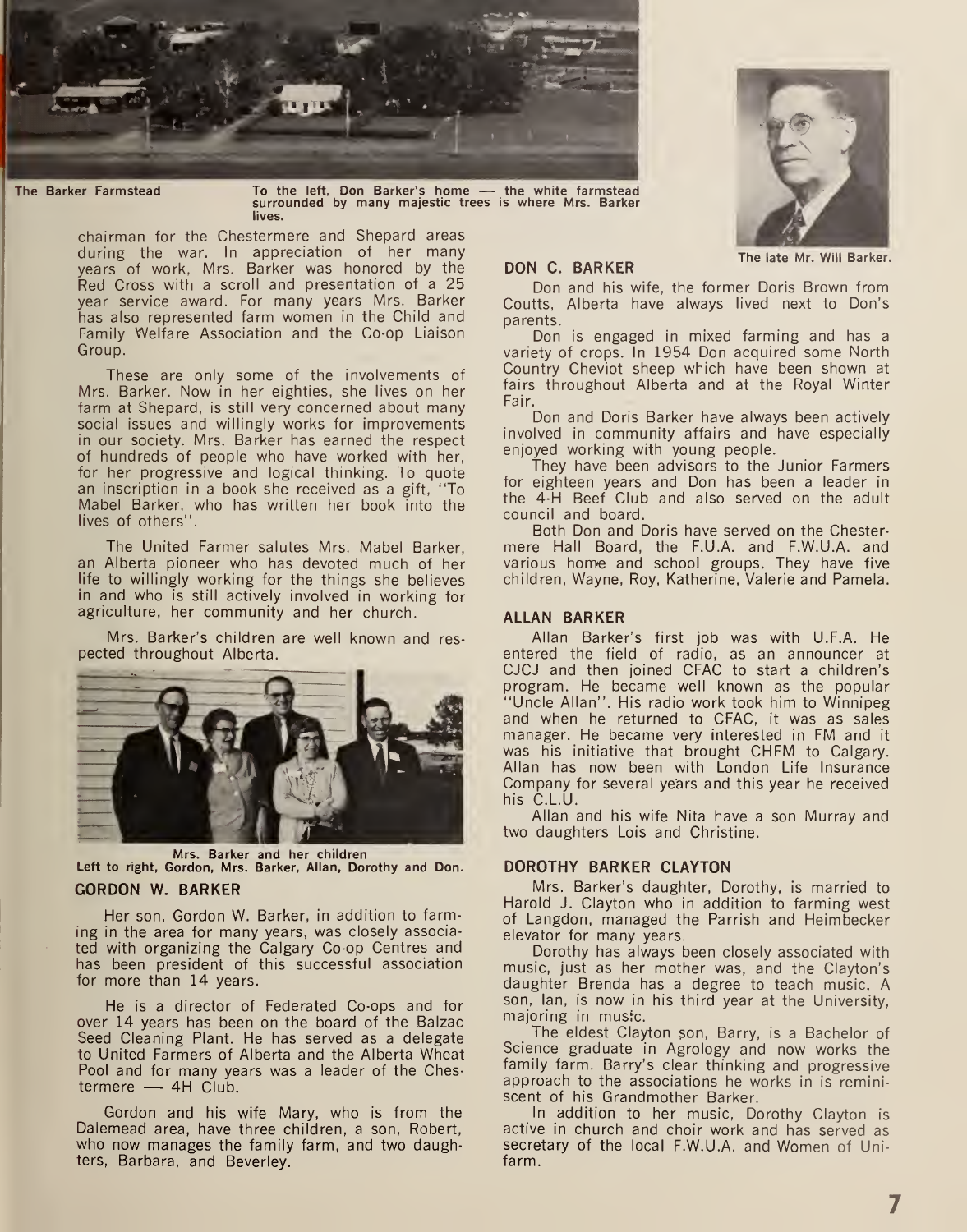

The Barker Farmstead To the left, Don Barker's home — the white farmstead surrounded by many majestic trees is where Mrs. Barker lives.

chairman for the Chestermere and Shepard areas during the war. In appreciation of her many years of work, Mrs. Barker was honored by the Red Cross with a scroll and presentation of <sup>a</sup> 25 year service award. For many years Mrs. Barker has also represented farm women in the Child and Family Welfare Association and the Co-op Liaison Group.

These are only some of the involvements of Mrs. Barker. Now in her eighties, she lives on her farm at Shepard, is still very concerned about many social issues and willingly works for improvements in our society. Mrs. Barker has earned the respect of hundreds of people who have worked with her, for her progressive and logical thinking. To quote an inscription in a book she received as a gift, "To Mabel Barker, who has written her book into the lives of others".

The United Farmer salutes Mrs. Mabel Barker, an Alberta pioneer who has devoted much of her life to willingly working for the things she believes in and who is still actively involved in working for agriculture, her community and her church.

Mrs. Barker's children are well known and res pected throughout Alberta.



Mrs. Barker and her children Left to right, Gordon, Mrs. Barker, Allan, Dorothy and Don.

### GORDON W. BARKER

Her son, Gordon W. Barker, in addition to farming in the area for many years, was closely associated with organizing the Calgary Co-op Centres and has been president of this successful association for more than 14 years.

He is a director of Federated Co-ops and for over 14 years has been on the board of the Balzac Seed Cleaning Plant. He has served as a delegate to United Farmers of Alberta and the Alberta Wheat Pool and for many years was a leader of the Chestermere — 4H Club.

Gordon and his wife Mary, who is from the Dalemead area, have three children, a son, Robert, who now manages the family farm, and two daughters, Barbara, and Beverley.



DON C. BARKER The late Mr. Will Barker.

Don and his wife, the former Doris Brown from Coutts, Alberta have always lived next to Don's parents.

Don is engaged in mixed farming and has a variety of crops. In 1954 Don acquired some North Country Cheviot sheep which have been shown at fairs throughout Alberta and at the Royal Winter Fair.

Don and Doris Barker have always been actively involved in community affairs and have especially enjoyed working with young people.

They have been advisors to the Junior Farmers for eighteen years and Don has been a leader in the 4-H Beef Club and also served on the adult council and board.

Both Don and Doris have served on the Chester mere Hall Board, the F.U.A. and F.W.U.A. and various home and school groups. They have five children, Wayne, Roy, Katherine, Valerie and Pamela.

### ALLAN BARKER

Allan Barker's first job was with U.F.A. He entered the field of radio, as an announcer at CJCJ and then joined CFAC to start a children's program. He became well known as the popular "Uncle Allan". His radio work took him to Winnipeg and when he returned to CFAC, it was as sales manager. He became very interested in FM and it was his initiative that brought CHFM to Calgary. Allan has now been with London Life Insurance Company for several years and this year he received his C.L.U.

Allan and his wife Nita have a son Murray and two daughters Lois and Christine.

### DOROTHY BARKER CLAYTON

Mrs. Barker's daughter, Dorothy, is married to Harold J. Clayton who in addition to farming west of Langdon, managed the Parrish and Heimbecker elevator for many years.

Dorothy has always been closely associated with music, just as her mother was, and the Clayton's daughter Brenda has a degree to teach music. A son, Ian, is now in his third year at the University, majoring in musfc.

The eldest Clayton son, Barry, is a Bachelor of Science graduate in Agrology and now works the family farm. Barry's clear thinking and progressive approach to the associations he works in is remini scent of his Grandmother Barker.

In addition to her music, Dorothy Clayton is active in church and choir work and has served as secretary of the local F.W.U.A. and Women of Unifarm.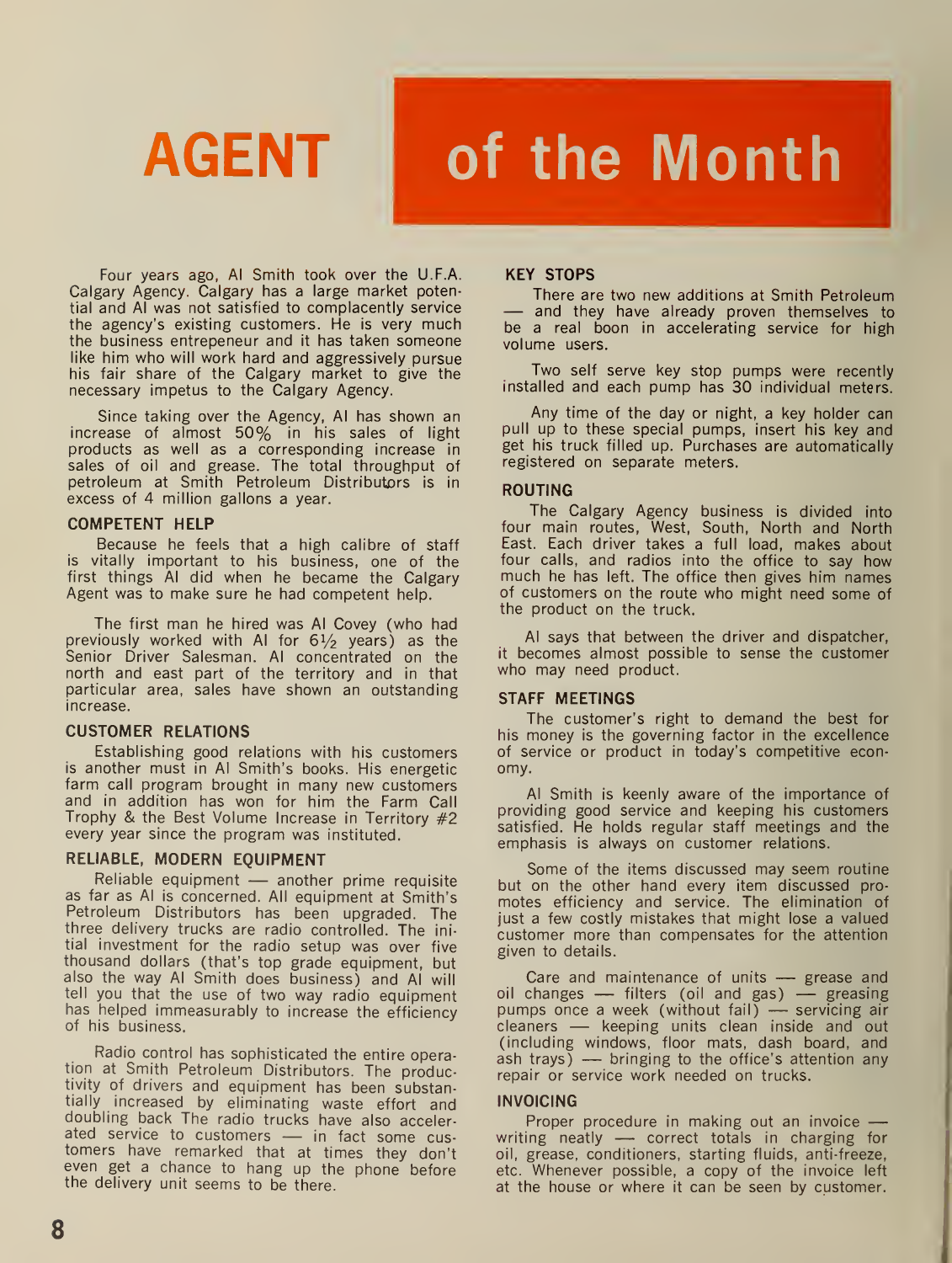# AGENT of the Month

Four years ago, Al Smith took over the U.F.A. Calgary Agency. Calgary has a large market potential and Al was not satisfied to complacently service the agency's existing customers. He is very much the business entrepeneur and it has taken someone like him who will work hard and aggressively pursue his fair share of the Calgary market to give the necessary impetus to the Calgary Agency.

Since taking over the Agency, Al has shown an increase of almost 50% in his sales of light products as well as a corresponding increase in sales of oil and grease. The total throughput of petroleum at Smith Petroleum Distributors is in excess of 4 million gallons a year.

### COMPETENT HELP

Because he feels that a high calibre of staff is vitally important to his business, one of the first things Al did when he became the Calgary Agent was to make sure he had competent help.

The first man he hired was Al Covey (who had previously worked with AI for  $6\frac{1}{2}$  years) as the Senior Driver Salesman. Al concentrated on the north and east part of the territory and in that particular area, sales have shown an outstanding increase.

### CUSTOMER RELATIONS

Establishing good relations with his customers is another must in Al Smith's books. His energetic farm call program brought in many new customers and in addition has won for him the Farm Call Trophy & the Best Volume Increase in Territory #2 every year since the program was instituted.

### RELIABLE, MODERN EQUIPMENT

Reliable equipment — another prime requisite as far as Al is concerned. All equipment at Smith's Petroleum Distributors has been upgraded. The three delivery trucks are radio controlled. The ini tial investment for the radio setup was over five thousand dollars (that's top grade equipment, but also the way Al Smith does business) and Al will tell you that the use of two way radio equipment has helped immeasurably to increase the efficiency of his business.

Radio control has sophisticated the entire operation at Smith Petroleum Distributors. The productivity of drivers and equipment has been substantially increased by eliminating waste effort and doubling back The radio trucks have also accelerated service to customers — in fact some cus- tomers have remarked that at times they don't even get <sup>a</sup> chance to hang up the phone before the delivery unit seems to be there.

### KEY STOPS

There are two new additions at Smith Petroleum — and they have already proven themselves to be a real boon in accelerating service for high volume users.

Two self serve key stop pumps were recently installed and each pump has 30 individual meters.

Any time of the day or night, a key holder can pull up to these special pumps, insert his key and get his truck filled up. Purchases are automatically registered on separate meters.

### ROUTING

The Calgary Agency business is divided into four main routes, West, South, North and North East. Each driver takes <sup>a</sup> full load, makes about four calls, and radios into the office to say how much he has left. The office then gives him names of customers on the route who might need some of the product on the truck.

Al says that between the driver and dispatcher, it becomes almost possible to sense the customer who may need product.

### STAFF MEETINGS

The customer's right to demand the best for his money is the governing factor in the excellence of service or product in today's competitive econ omy.

Al Smith is keenly aware of the importance of providing good service and keeping his customers satisfied. He holds regular staff meetings and the emphasis is always on customer relations.

Some of the items discussed may seem routine but on the other hand every item discussed pro motes efficiency and service. The elimination of just a few costly mistakes that might lose a valued customer more than compensates for the attention given to details.

Care and maintenance of units — grease and Care and maintenance of units — grease and<br>oil changes — filters (oil and gas) — greasing oil changes — filters (oil and gas) — greasing<br>pumps once a week (without fail) — servicing air pumps once a week (without fail) — servicing air<br>cleaners — keeping units clean inside and out (including windows, floor mats, dash board, and ash trays) — bringing to the office's attention any repair or service work needed on trucks.

### INVOICING

Proper procedure in making out an invoice writing neatly — correct totals in charging for oil, grease, conditioners, starting fluids, anti-freeze, etc. Whenever possible, a copy of the invoice left at the house or where it can be seen by customer.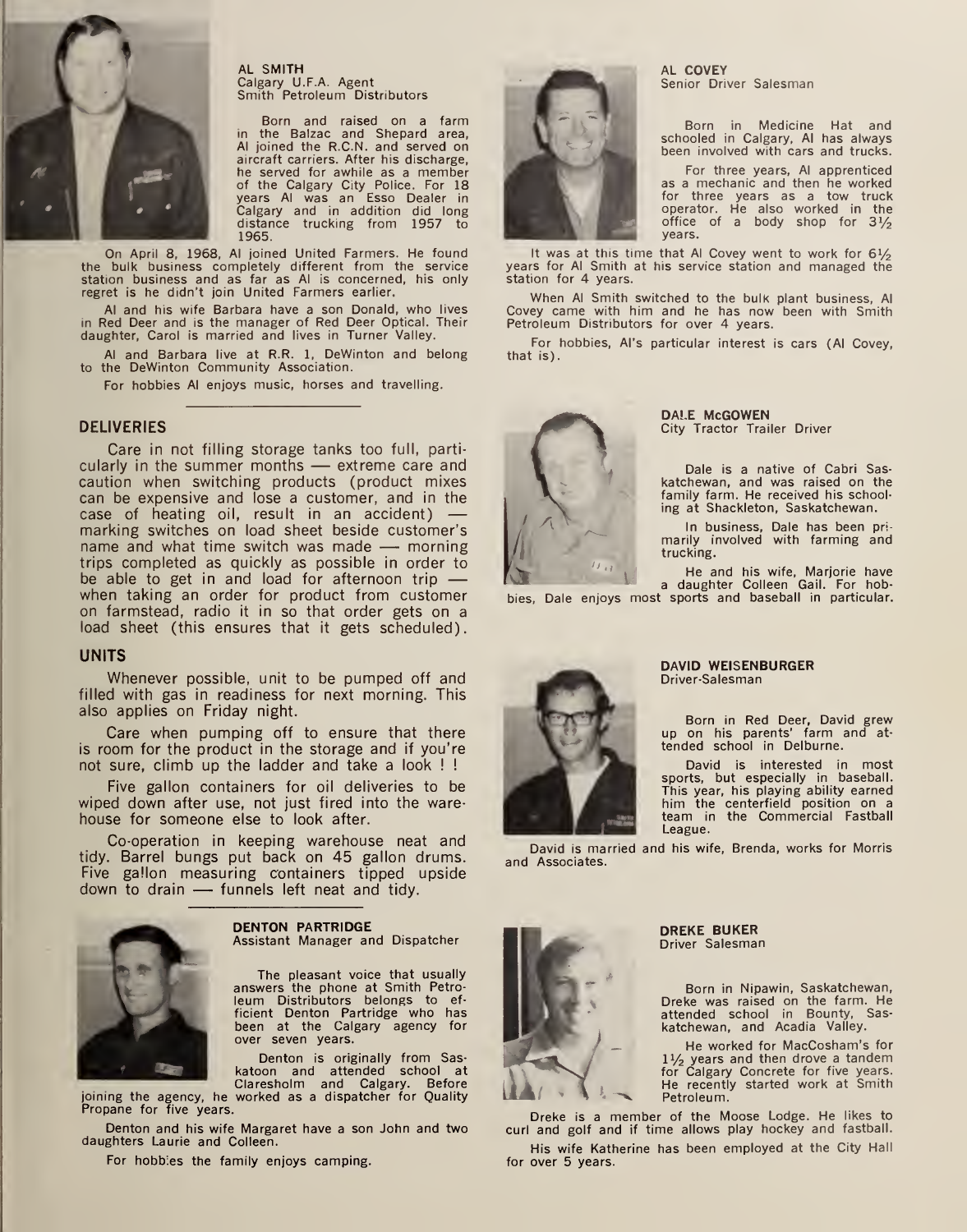

AL SMITH Calgary U.F.A. Agent Smith Petroleum Distributors

Born and raised on a farm in the Balzac and Shepard area, Al joined the R.C.N, and served on aircraft carriers. After his discharge, he served for awhile as <sup>a</sup> member of the Calgary City Police. For 18 years Al was an Esso Dealer in Calgary and in addition did long distance trucking from 1957 to 1965.

On April 8, 1968, Al joined United Farmers. He found the bulk business completely different from the service station business and as far as Al is concerned, his only regret is he didn't join United Farmers earlier.

Al and his wife Barbara have <sup>a</sup> son Donald, who lives in Red Deer and is the manager of Red Deer Optical. Their daughter, Carol is married and lives in Turner Valley.

Al and Barbara live at R.R. 1, DeWinton and belong to the DeWinton Community Association.

For hobbies Al enjoys music, horses and travelling.

### DELIVERIES

Care in not filling storage tanks too full, particularly in the summer months — extreme care and caution when switching products (product mixes can be expensive and lose a customer, and in the case of heating oil, result in an accident) marking switches on load sheet beside customer's name and what time switch was made — morning trips completed as quickly as possible in order to be able to get in and load for afternoon trip when taking an order for product from customer on farmstead, radio it in so that order gets on a load sheet (this ensures that it gets scheduled).

### UNITS

Whenever possible, unit to be pumped off and filled with gas in readiness for next morning. This also applies on Friday night.

Care when pumping off to ensure that there is room for the product in the storage and if you're not sure, climb up the ladder and take a look ! !

Five gallon containers for oil deliveries to be wiped down after use, not just fired into the ware house for someone else to look after.

Co-operation in keeping warehouse neat and tidy. Barrel bungs put back on 45 gallon drums. Five gallon measuring containers tipped upside down to drain — funnels left neat and tidy.



DENTON PARTRIDGE Assistant Manager and Dispatcher

The pleasant voice that usually answers the phone at Smith Petro leum Distributors belongs to ef ficient Denton Partridge who has been at the Calgary agency for over seven years.

Denton is originally from Sas katoon and attended school at<br>Claresholm and Calgary. Before

joining the agency, he worked as a dispatcher for Quality Propane for five years.

Denton and his wife Margaret have a son John and two daughters Laurie and Colleen.

For hobbles the family enjoys camping.



AL COVEY Senior Driver Salesman

Born in Medicine Hat and schooled in Calgary, Al has always been involved with cars and trucks.

For three years, Al apprenticed as a mechanic and then he worked for three years as a tow truck operator. He also worked in the office of a body shop for  $3\frac{1}{2}$ years.

It was at this time that Al Covey went to work for  $6\frac{1}{2}$ years for Al Smith at his service station and managed the station for 4 years.

When Al Smith switched to the bulk plant business, Al Covey came with him and he has now been with Smith Petroleum Distributors for over 4 years.

For hobbies, Al's particular interest is cars (Al Covey, that is).



DALE McGOWEN City Tractor Trailer Driver

Dale is a native of Cabri Sas katchewan, and was raised on the family farm. He received his schooling at Shackleton, Saskatchewan.

In business, Dale has been pri- marily involved with farming and trucking.

He and his wife, Marjorie have a daughter Colleen Gail. For hob-

bies, Dale enjoys most sports and baseball in particular.



#### DAVID WEISENBURGER Driver-Salesman

Born in Red Deer, David grew up on his parents' farm and at-<br>tended school in Delburne.

David is interested in most sports, but especially in baseball. This year, his playing ability earned him the centerfield position on a team in the Commercial Fastball League.

David is married and his wife, Brenda, works for Morris and Associates.



DREKE BUKER Driver Salesman

Born in Nipawin, Saskatchewan, Dreke was raised on the farm. He attended school in Bounty, Sas- katchewan, and Acadia Valley.

He worked for MacCosham's for 1½ years and then drove a tandem<br>for Calgary Concrete for five years.<br>He recently started work at Smith Petroleum.

Dreke is <sup>a</sup> member of the Moose Lodge. He likes to curl and golf and if time allows play hockey and fastball.

His wife Katherine has been employed at the City Hall for over 5 years.